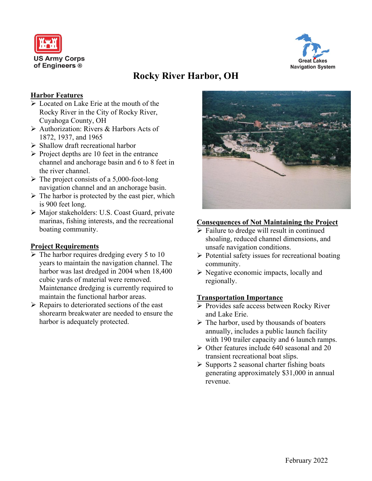



# **Rocky River Harbor, OH**

## **Harbor Features**

- ➢ Located on Lake Erie at the mouth of the Rocky River in the City of Rocky River, Cuyahoga County, OH
- ➢ Authorization: Rivers & Harbors Acts of 1872, 1937, and 1965
- ➢ Shallow draft recreational harbor
- $\triangleright$  Project depths are 10 feet in the entrance channel and anchorage basin and 6 to 8 feet in the river channel.
- $\triangleright$  The project consists of a 5,000-foot-long navigation channel and an anchorage basin.
- $\triangleright$  The harbor is protected by the east pier, which is 900 feet long.
- ➢ Major stakeholders: U.S. Coast Guard, private marinas, fishing interests, and the recreational boating community.

## **Project Requirements**

- $\triangleright$  The harbor requires dredging every 5 to 10 years to maintain the navigation channel. The harbor was last dredged in 2004 when 18,400 cubic yards of material were removed. Maintenance dredging is currently required to maintain the functional harbor areas.
- ➢ Repairs to deteriorated sections of the east shorearm breakwater are needed to ensure the harbor is adequately protected.



## **Consequences of Not Maintaining the Project**

- ➢ Failure to dredge will result in continued shoaling, reduced channel dimensions, and unsafe navigation conditions.
- $\triangleright$  Potential safety issues for recreational boating community.
- $\triangleright$  Negative economic impacts, locally and regionally.

## **Transportation Importance**

- ➢ Provides safe access between Rocky River and Lake Erie.
- $\triangleright$  The harbor, used by thousands of boaters annually, includes a public launch facility with 190 trailer capacity and 6 launch ramps.
- $\triangleright$  Other features include 640 seasonal and 20 transient recreational boat slips.
- $\triangleright$  Supports 2 seasonal charter fishing boats generating approximately \$31,000 in annual revenue.